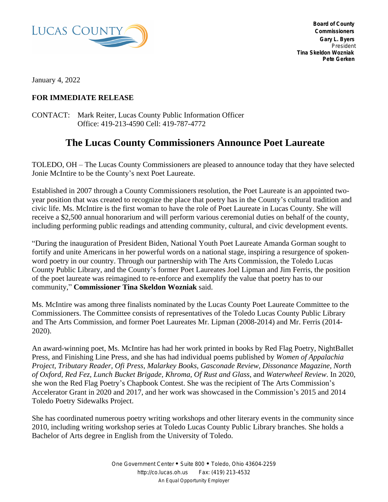

January 4, 2022

## **FOR IMMEDIATE RELEASE**

CONTACT: Mark Reiter, Lucas County Public Information Officer Office: 419-213-4590 Cell: 419-787-4772

## **The Lucas County Commissioners Announce Poet Laureate**

TOLEDO, OH – The Lucas County Commissioners are pleased to announce today that they have selected Jonie McIntire to be the County's next Poet Laureate.

Established in 2007 through a County Commissioners resolution, the Poet Laureate is an appointed twoyear position that was created to recognize the place that poetry has in the County's cultural tradition and civic life. Ms. McIntire is the first woman to have the role of Poet Laureate in Lucas County. She will receive a \$2,500 annual honorarium and will perform various ceremonial duties on behalf of the county, including performing public readings and attending community, cultural, and civic development events.

"During the inauguration of President Biden, National Youth Poet Laureate Amanda Gorman sought to fortify and unite Americans in her powerful words on a national stage, inspiring a resurgence of spokenword poetry in our country. Through our partnership with The Arts Commission, the Toledo Lucas County Public Library, and the County's former Poet Laureates Joel Lipman and Jim Ferris, the position of the poet laureate was reimagined to re-enforce and exemplify the value that poetry has to our community," **Commissioner Tina Skeldon Wozniak** said.

Ms. McIntire was among three finalists nominated by the Lucas County Poet Laureate Committee to the Commissioners. The Committee consists of representatives of the Toledo Lucas County Public Library and The Arts Commission, and former Poet Laureates Mr. Lipman (2008-2014) and Mr. Ferris (2014- 2020).

An award-winning poet, Ms. McIntire has had her work printed in books by Red Flag Poetry, NightBallet Press, and Finishing Line Press, and she has had individual poems published by *Women of Appalachia Project, Tributary Reader, Ofi Press, Malarkey Books, Gasconade Review, Dissonance Magazine, North of Oxford, Red Fez, Lunch Bucket Brigade, Khroma, Of Rust and Glass*, and *Waterwheel Review*. In 2020, she won the Red Flag Poetry's Chapbook Contest. She was the recipient of The Arts Commission's Accelerator Grant in 2020 and 2017, and her work was showcased in the Commission's 2015 and 2014 Toledo Poetry Sidewalks Project.

She has coordinated numerous poetry writing workshops and other literary events in the community since 2010, including writing workshop series at Toledo Lucas County Public Library branches. She holds a Bachelor of Arts degree in English from the University of Toledo.